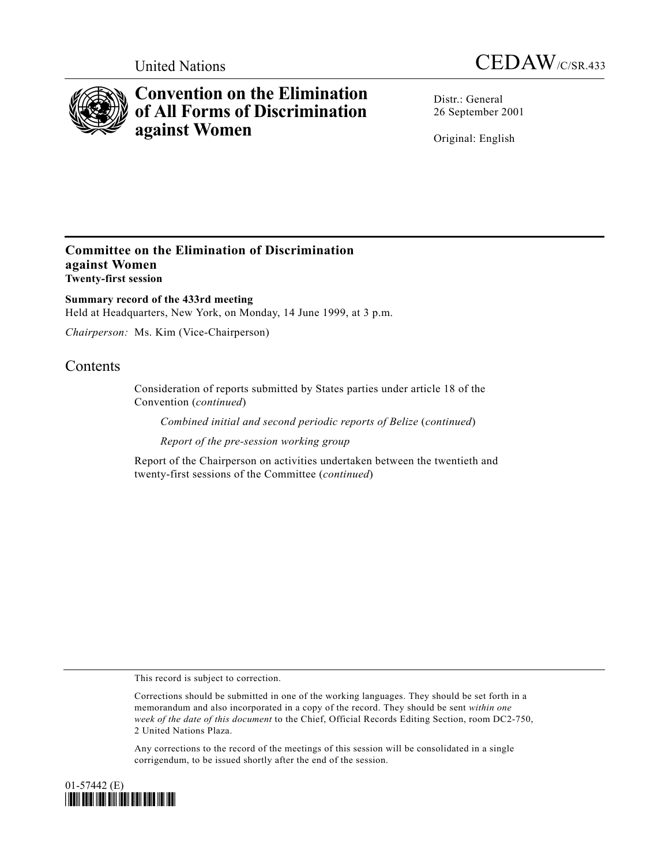



# **Convention on the Elimination of All Forms of Discrimination against Women**

Distr · General 26 September 2001

Original: English

# **Committee on the Elimination of Discrimination against Women Twenty-first session**

**Summary record of the 433rd meeting** Held at Headquarters, New York, on Monday, 14 June 1999, at 3 p.m.

*Chairperson:* Ms. Kim (Vice-Chairperson)

# **Contents**

Consideration of reports submitted by States parties under article 18 of the Convention (*continued*)

*Combined initial and second periodic reports of Belize* (*continued*)

*Report of the pre-session working group*

Report of the Chairperson on activities undertaken between the twentieth and twenty-first sessions of the Committee (*continued*)

This record is subject to correction.

Corrections should be submitted in one of the working languages. They should be set forth in a memorandum and also incorporated in a copy of the record. They should be sent *within one week of the date of this document* to the Chief, Official Records Editing Section, room DC2-750, 2 United Nations Plaza.

Any corrections to the record of the meetings of this session will be consolidated in a single corrigendum, to be issued shortly after the end of the session.

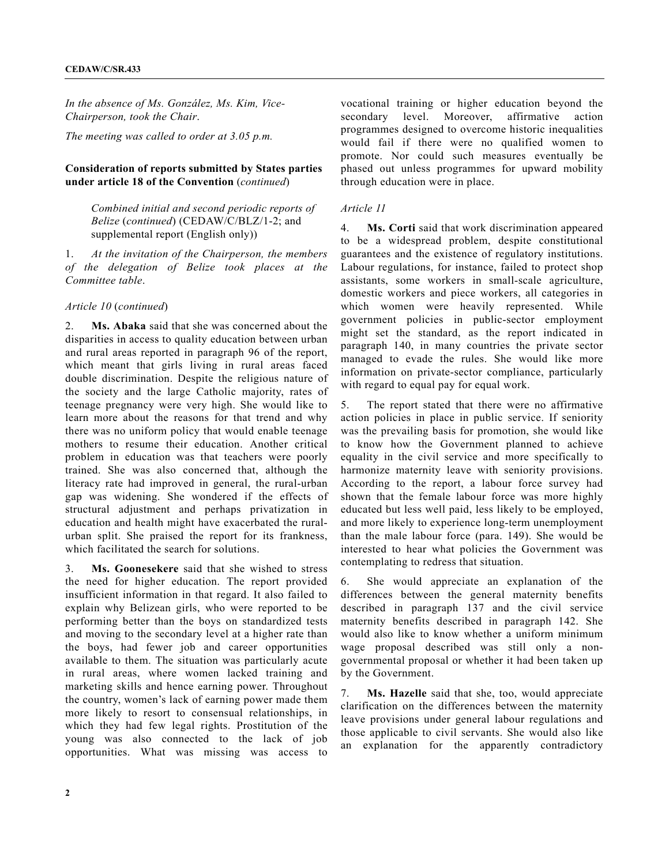*In the absence of Ms. González, Ms. Kim, Vice-Chairperson, took the Chair*.

*The meeting was called to order at 3.05 p.m.*

## **Consideration of reports submitted by States parties under article 18 of the Convention** (*continued*)

*Combined initial and second periodic reports of Belize* (*continued*) (CEDAW/C/BLZ/1-2; and supplemental report (English only))

1. *At the invitation of the Chairperson, the members of the delegation of Belize took places at the Committee table*.

#### *Article 10* (*continued*)

2. **Ms. Abaka** said that she was concerned about the disparities in access to quality education between urban and rural areas reported in paragraph 96 of the report, which meant that girls living in rural areas faced double discrimination. Despite the religious nature of the society and the large Catholic majority, rates of teenage pregnancy were very high. She would like to learn more about the reasons for that trend and why there was no uniform policy that would enable teenage mothers to resume their education. Another critical problem in education was that teachers were poorly trained. She was also concerned that, although the literacy rate had improved in general, the rural-urban gap was widening. She wondered if the effects of structural adjustment and perhaps privatization in education and health might have exacerbated the ruralurban split. She praised the report for its frankness, which facilitated the search for solutions.

3. **Ms. Goonesekere** said that she wished to stress the need for higher education. The report provided insufficient information in that regard. It also failed to explain why Belizean girls, who were reported to be performing better than the boys on standardized tests and moving to the secondary level at a higher rate than the boys, had fewer job and career opportunities available to them. The situation was particularly acute in rural areas, where women lacked training and marketing skills and hence earning power. Throughout the country, women's lack of earning power made them more likely to resort to consensual relationships, in which they had few legal rights. Prostitution of the young was also connected to the lack of job opportunities. What was missing was access to

vocational training or higher education beyond the secondary level. Moreover, affirmative action programmes designed to overcome historic inequalities would fail if there were no qualified women to promote. Nor could such measures eventually be phased out unless programmes for upward mobility through education were in place.

#### *Article 11*

4. **Ms. Corti** said that work discrimination appeared to be a widespread problem, despite constitutional guarantees and the existence of regulatory institutions. Labour regulations, for instance, failed to protect shop assistants, some workers in small-scale agriculture, domestic workers and piece workers, all categories in which women were heavily represented. While government policies in public-sector employment might set the standard, as the report indicated in paragraph 140, in many countries the private sector managed to evade the rules. She would like more information on private-sector compliance, particularly with regard to equal pay for equal work.

5. The report stated that there were no affirmative action policies in place in public service. If seniority was the prevailing basis for promotion, she would like to know how the Government planned to achieve equality in the civil service and more specifically to harmonize maternity leave with seniority provisions. According to the report, a labour force survey had shown that the female labour force was more highly educated but less well paid, less likely to be employed, and more likely to experience long-term unemployment than the male labour force (para. 149). She would be interested to hear what policies the Government was contemplating to redress that situation.

6. She would appreciate an explanation of the differences between the general maternity benefits described in paragraph 137 and the civil service maternity benefits described in paragraph 142. She would also like to know whether a uniform minimum wage proposal described was still only a nongovernmental proposal or whether it had been taken up by the Government.

7. **Ms. Hazelle** said that she, too, would appreciate clarification on the differences between the maternity leave provisions under general labour regulations and those applicable to civil servants. She would also like an explanation for the apparently contradictory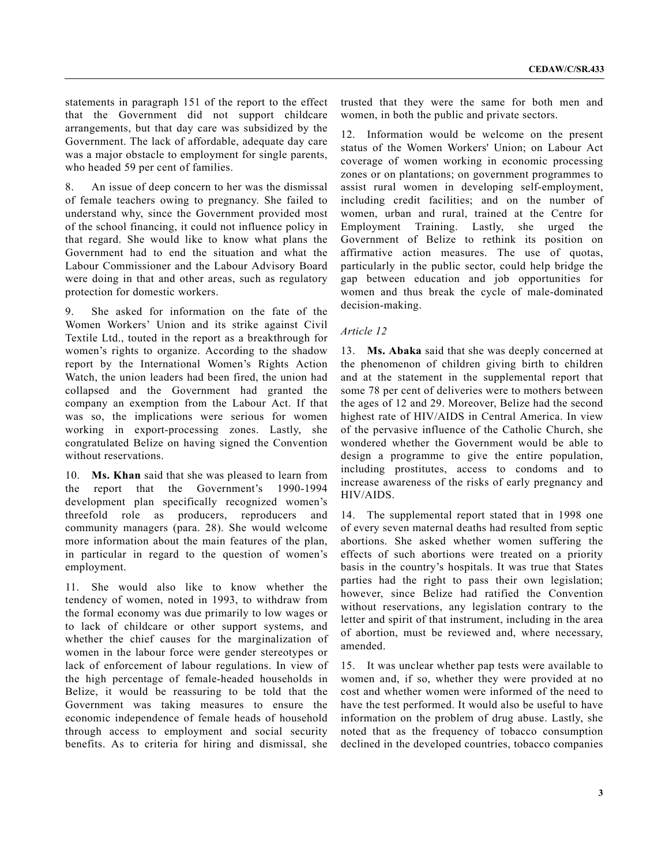statements in paragraph 151 of the report to the effect that the Government did not support childcare arrangements, but that day care was subsidized by the Government. The lack of affordable, adequate day care was a major obstacle to employment for single parents, who headed 59 per cent of families.

8. An issue of deep concern to her was the dismissal of female teachers owing to pregnancy. She failed to understand why, since the Government provided most of the school financing, it could not influence policy in that regard. She would like to know what plans the Government had to end the situation and what the Labour Commissioner and the Labour Advisory Board were doing in that and other areas, such as regulatory protection for domestic workers.

9. She asked for information on the fate of the Women Workers' Union and its strike against Civil Textile Ltd., touted in the report as a breakthrough for women's rights to organize. According to the shadow report by the International Women's Rights Action Watch, the union leaders had been fired, the union had collapsed and the Government had granted the company an exemption from the Labour Act. If that was so, the implications were serious for women working in export-processing zones. Lastly, she congratulated Belize on having signed the Convention without reservations.

10. **Ms. Khan** said that she was pleased to learn from the report that the Government's 1990-1994 development plan specifically recognized women's threefold role as producers, reproducers and community managers (para. 28). She would welcome more information about the main features of the plan, in particular in regard to the question of women's employment.

11. She would also like to know whether the tendency of women, noted in 1993, to withdraw from the formal economy was due primarily to low wages or to lack of childcare or other support systems, and whether the chief causes for the marginalization of women in the labour force were gender stereotypes or lack of enforcement of labour regulations. In view of the high percentage of female-headed households in Belize, it would be reassuring to be told that the Government was taking measures to ensure the economic independence of female heads of household through access to employment and social security benefits. As to criteria for hiring and dismissal, she

trusted that they were the same for both men and women, in both the public and private sectors.

12. Information would be welcome on the present status of the Women Workers' Union; on Labour Act coverage of women working in economic processing zones or on plantations; on government programmes to assist rural women in developing self-employment, including credit facilities; and on the number of women, urban and rural, trained at the Centre for Employment Training. Lastly, she urged the Government of Belize to rethink its position on affirmative action measures. The use of quotas, particularly in the public sector, could help bridge the gap between education and job opportunities for women and thus break the cycle of male-dominated decision-making.

#### *Article 12*

13. **Ms. Abaka** said that she was deeply concerned at the phenomenon of children giving birth to children and at the statement in the supplemental report that some 78 per cent of deliveries were to mothers between the ages of 12 and 29. Moreover, Belize had the second highest rate of HIV/AIDS in Central America. In view of the pervasive influence of the Catholic Church, she wondered whether the Government would be able to design a programme to give the entire population, including prostitutes, access to condoms and to increase awareness of the risks of early pregnancy and HIV/AIDS.

14. The supplemental report stated that in 1998 one of every seven maternal deaths had resulted from septic abortions. She asked whether women suffering the effects of such abortions were treated on a priority basis in the country's hospitals. It was true that States parties had the right to pass their own legislation; however, since Belize had ratified the Convention without reservations, any legislation contrary to the letter and spirit of that instrument, including in the area of abortion, must be reviewed and, where necessary, amended.

15. It was unclear whether pap tests were available to women and, if so, whether they were provided at no cost and whether women were informed of the need to have the test performed. It would also be useful to have information on the problem of drug abuse. Lastly, she noted that as the frequency of tobacco consumption declined in the developed countries, tobacco companies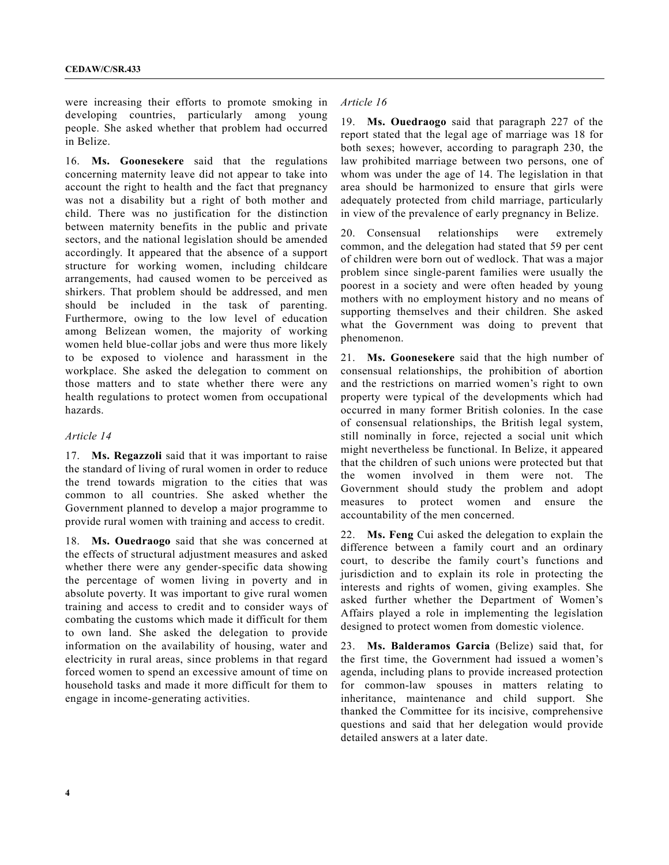were increasing their efforts to promote smoking in developing countries, particularly among young people. She asked whether that problem had occurred in Belize.

16. **Ms. Goonesekere** said that the regulations concerning maternity leave did not appear to take into account the right to health and the fact that pregnancy was not a disability but a right of both mother and child. There was no justification for the distinction between maternity benefits in the public and private sectors, and the national legislation should be amended accordingly. It appeared that the absence of a support structure for working women, including childcare arrangements, had caused women to be perceived as shirkers. That problem should be addressed, and men should be included in the task of parenting. Furthermore, owing to the low level of education among Belizean women, the majority of working women held blue-collar jobs and were thus more likely to be exposed to violence and harassment in the workplace. She asked the delegation to comment on those matters and to state whether there were any health regulations to protect women from occupational hazards.

#### *Article 14*

17. **Ms. Regazzoli** said that it was important to raise the standard of living of rural women in order to reduce the trend towards migration to the cities that was common to all countries. She asked whether the Government planned to develop a major programme to provide rural women with training and access to credit.

18. **Ms. Ouedraogo** said that she was concerned at the effects of structural adjustment measures and asked whether there were any gender-specific data showing the percentage of women living in poverty and in absolute poverty. It was important to give rural women training and access to credit and to consider ways of combating the customs which made it difficult for them to own land. She asked the delegation to provide information on the availability of housing, water and electricity in rural areas, since problems in that regard forced women to spend an excessive amount of time on household tasks and made it more difficult for them to engage in income-generating activities.

# *Article 16*

19. **Ms. Ouedraogo** said that paragraph 227 of the report stated that the legal age of marriage was 18 for both sexes; however, according to paragraph 230, the law prohibited marriage between two persons, one of whom was under the age of 14. The legislation in that area should be harmonized to ensure that girls were adequately protected from child marriage, particularly in view of the prevalence of early pregnancy in Belize.

20. Consensual relationships were extremely common, and the delegation had stated that 59 per cent of children were born out of wedlock. That was a major problem since single-parent families were usually the poorest in a society and were often headed by young mothers with no employment history and no means of supporting themselves and their children. She asked what the Government was doing to prevent that phenomenon.

21. **Ms. Goonesekere** said that the high number of consensual relationships, the prohibition of abortion and the restrictions on married women's right to own property were typical of the developments which had occurred in many former British colonies. In the case of consensual relationships, the British legal system, still nominally in force, rejected a social unit which might nevertheless be functional. In Belize, it appeared that the children of such unions were protected but that the women involved in them were not. The Government should study the problem and adopt measures to protect women and ensure the accountability of the men concerned.

22. **Ms. Feng** Cui asked the delegation to explain the difference between a family court and an ordinary court, to describe the family court's functions and jurisdiction and to explain its role in protecting the interests and rights of women, giving examples. She asked further whether the Department of Women's Affairs played a role in implementing the legislation designed to protect women from domestic violence.

23. **Ms. Balderamos Garcia** (Belize) said that, for the first time, the Government had issued a women's agenda, including plans to provide increased protection for common-law spouses in matters relating to inheritance, maintenance and child support. She thanked the Committee for its incisive, comprehensive questions and said that her delegation would provide detailed answers at a later date.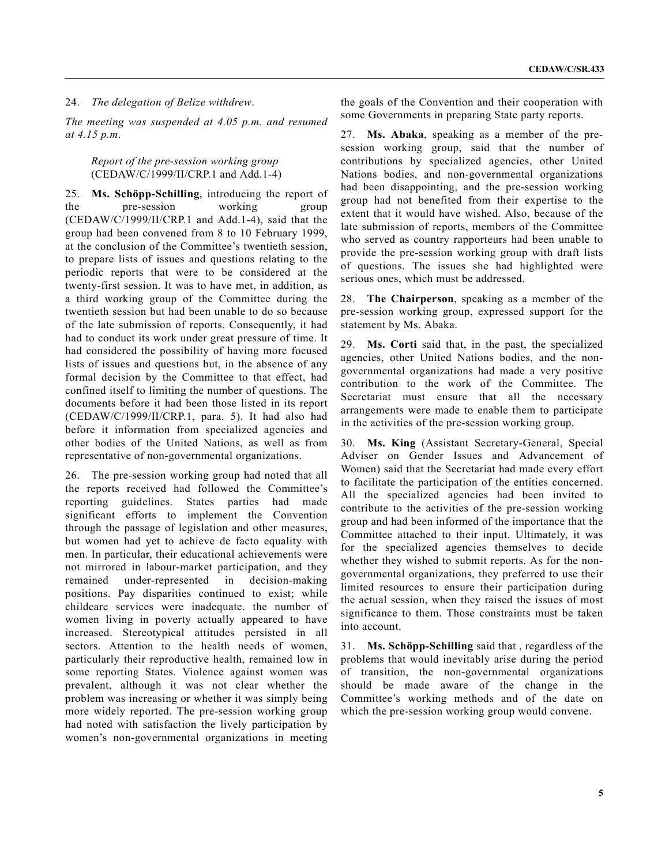## 24. *The delegation of Belize withdrew*.

*The meeting was suspended at 4.05 p.m. and resumed at 4.15 p.m*.

#### *Report of the pre-session working group* (CEDAW/C/1999/II/CRP.1 and Add.1-4)

25. **Ms. Schöpp-Schilling**, introducing the report of the pre-session working group (CEDAW/C/1999/II/CRP.1 and Add.1-4), said that the group had been convened from 8 to 10 February 1999, at the conclusion of the Committee's twentieth session, to prepare lists of issues and questions relating to the periodic reports that were to be considered at the twenty-first session. It was to have met, in addition, as a third working group of the Committee during the twentieth session but had been unable to do so because of the late submission of reports. Consequently, it had had to conduct its work under great pressure of time. It had considered the possibility of having more focused lists of issues and questions but, in the absence of any formal decision by the Committee to that effect, had confined itself to limiting the number of questions. The documents before it had been those listed in its report (CEDAW/C/1999/II/CRP.1, para. 5). It had also had before it information from specialized agencies and other bodies of the United Nations, as well as from representative of non-governmental organizations.

26. The pre-session working group had noted that all the reports received had followed the Committee's reporting guidelines. States parties had made significant efforts to implement the Convention through the passage of legislation and other measures, but women had yet to achieve de facto equality with men. In particular, their educational achievements were not mirrored in labour-market participation, and they remained under-represented in decision-making positions. Pay disparities continued to exist; while childcare services were inadequate. the number of women living in poverty actually appeared to have increased. Stereotypical attitudes persisted in all sectors. Attention to the health needs of women, particularly their reproductive health, remained low in some reporting States. Violence against women was prevalent, although it was not clear whether the problem was increasing or whether it was simply being more widely reported. The pre-session working group had noted with satisfaction the lively participation by women's non-governmental organizations in meeting

the goals of the Convention and their cooperation with some Governments in preparing State party reports.

27. **Ms. Abaka**, speaking as a member of the presession working group, said that the number of contributions by specialized agencies, other United Nations bodies, and non-governmental organizations had been disappointing, and the pre-session working group had not benefited from their expertise to the extent that it would have wished. Also, because of the late submission of reports, members of the Committee who served as country rapporteurs had been unable to provide the pre-session working group with draft lists of questions. The issues she had highlighted were serious ones, which must be addressed.

28. **The Chairperson**, speaking as a member of the pre-session working group, expressed support for the statement by Ms. Abaka.

29. **Ms. Corti** said that, in the past, the specialized agencies, other United Nations bodies, and the nongovernmental organizations had made a very positive contribution to the work of the Committee. The Secretariat must ensure that all the necessary arrangements were made to enable them to participate in the activities of the pre-session working group.

30. **Ms. King** (Assistant Secretary-General, Special Adviser on Gender Issues and Advancement of Women) said that the Secretariat had made every effort to facilitate the participation of the entities concerned. All the specialized agencies had been invited to contribute to the activities of the pre-session working group and had been informed of the importance that the Committee attached to their input. Ultimately, it was for the specialized agencies themselves to decide whether they wished to submit reports. As for the nongovernmental organizations, they preferred to use their limited resources to ensure their participation during the actual session, when they raised the issues of most significance to them. Those constraints must be taken into account.

31. **Ms. Schöpp-Schilling** said that , regardless of the problems that would inevitably arise during the period of transition, the non-governmental organizations should be made aware of the change in the Committee's working methods and of the date on which the pre-session working group would convene.